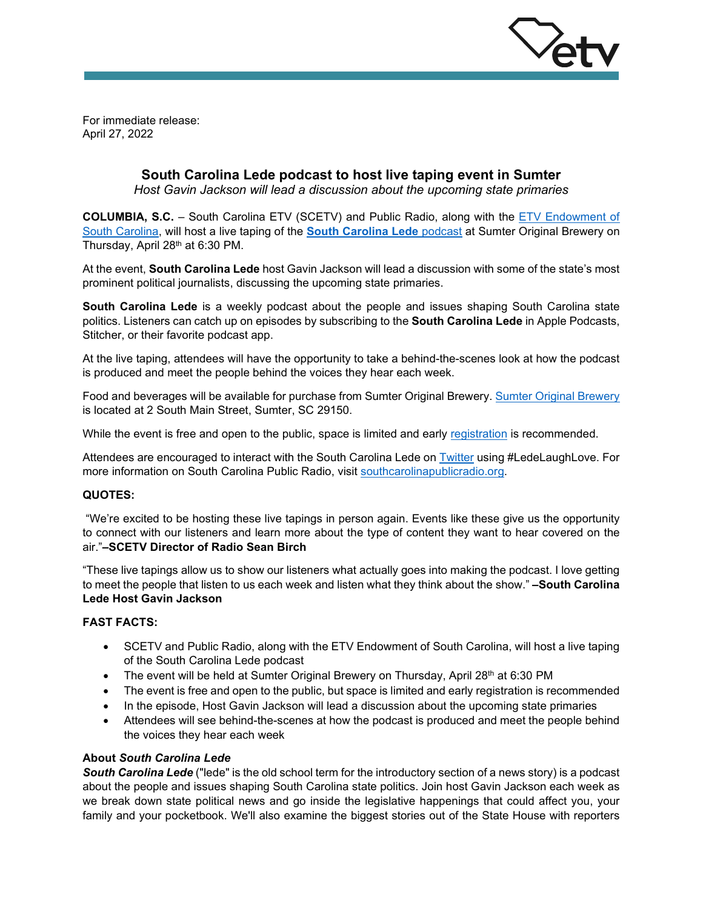

For immediate release: April 27, 2022

# **South Carolina Lede podcast to host live taping event in Sumter**

*Host Gavin Jackson will lead a discussion about the upcoming state primaries*

**COLUMBIA, S.C.** – South Carolina ETV (SCETV) and Public Radio, along with the [ETV Endowment of](https://www.etvendowment.org/)  [South Carolina,](https://www.etvendowment.org/) will host a live taping of the **[South Carolina Lede](https://www.southcarolinapublicradio.org/podcast/south-carolina-lede)** podcast at Sumter Original Brewery on Thursday, April 28<sup>th</sup> at 6:30 PM.

At the event, **South Carolina Lede** host Gavin Jackson will lead a discussion with some of the state's most prominent political journalists, discussing the upcoming state primaries.

**South Carolina Lede** is a weekly podcast about the people and issues shaping South Carolina state politics. Listeners can catch up on episodes by subscribing to the **South Carolina Lede** in Apple Podcasts, Stitcher, or their favorite podcast app.

At the live taping, attendees will have the opportunity to take a behind-the-scenes look at how the podcast is produced and meet the people behind the voices they hear each week.

Food and beverages will be available for purchase from Sumter Original Brewery[. Sumter Original Brewery](https://sumteroriginalbrewery.com/) is located at 2 South Main Street, Sumter, SC 29150.

While the event is free and open to the public, space is limited and early [registration](https://www.eventbrite.com/e/sc-lede-live-taping-registration-297356981737) is recommended.

Attendees are encouraged to interact with the South Carolina Lede on [Twitter](https://twitter.com/SCledepod) using #LedeLaughLove. For more information on South Carolina Public Radio, visit [southcarolinapublicradio.org.](https://www.southcarolinapublicradio.org/podcast/south-carolina-lede)

### **QUOTES:**

"We're excited to be hosting these live tapings in person again. Events like these give us the opportunity to connect with our listeners and learn more about the type of content they want to hear covered on the air."**–SCETV Director of Radio Sean Birch**

"These live tapings allow us to show our listeners what actually goes into making the podcast. I love getting to meet the people that listen to us each week and listen what they think about the show." **–South Carolina Lede Host Gavin Jackson**

### **FAST FACTS:**

- SCETV and Public Radio, along with the ETV Endowment of South Carolina, will host a live taping of the South Carolina Lede podcast
- The event will be held at Sumter Original Brewery on Thursday, April 28<sup>th</sup> at 6:30 PM
- The event is free and open to the public, but space is limited and early registration is recommended
- In the episode, Host Gavin Jackson will lead a discussion about the upcoming state primaries
- Attendees will see behind-the-scenes at how the podcast is produced and meet the people behind the voices they hear each week

## **About** *South Carolina Lede*

*South Carolina Lede* ("lede" is the old school term for the introductory section of a news story) is a podcast about the people and issues shaping South Carolina state politics. Join host Gavin Jackson each week as we break down state political news and go inside the legislative happenings that could affect you, your family and your pocketbook. We'll also examine the biggest stories out of the State House with reporters